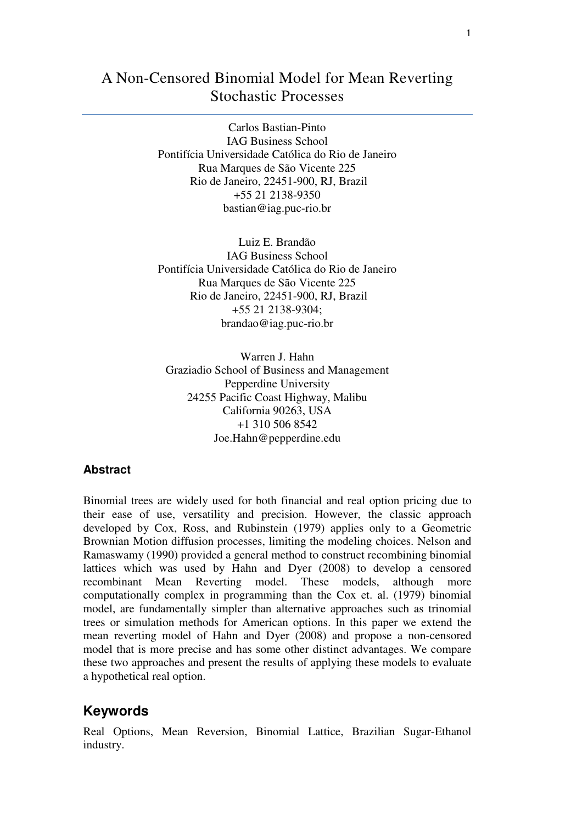# A Non-Censored Binomial Model for Mean Reverting Stochastic Processes

Carlos Bastian-Pinto IAG Business School Pontifícia Universidade Católica do Rio de Janeiro Rua Marques de São Vicente 225 Rio de Janeiro, 22451-900, RJ, Brazil +55 21 2138-9350 bastian@iag.puc-rio.br

Luiz E. Brandão IAG Business School Pontifícia Universidade Católica do Rio de Janeiro Rua Marques de São Vicente 225 Rio de Janeiro, 22451-900, RJ, Brazil +55 21 2138-9304; brandao@iag.puc-rio.br

Warren J. Hahn Graziadio School of Business and Management Pepperdine University 24255 Pacific Coast Highway, Malibu California 90263, USA +1 310 506 8542 Joe.Hahn@pepperdine.edu

### **Abstract**

Binomial trees are widely used for both financial and real option pricing due to their ease of use, versatility and precision. However, the classic approach developed by Cox, Ross, and Rubinstein (1979) applies only to a Geometric Brownian Motion diffusion processes, limiting the modeling choices. Nelson and Ramaswamy (1990) provided a general method to construct recombining binomial lattices which was used by Hahn and Dyer (2008) to develop a censored recombinant Mean Reverting model. These models, although more computationally complex in programming than the Cox et. al. (1979) binomial model, are fundamentally simpler than alternative approaches such as trinomial trees or simulation methods for American options. In this paper we extend the mean reverting model of Hahn and Dyer (2008) and propose a non-censored model that is more precise and has some other distinct advantages. We compare these two approaches and present the results of applying these models to evaluate a hypothetical real option.

## **Keywords**

Real Options, Mean Reversion, Binomial Lattice, Brazilian Sugar-Ethanol industry.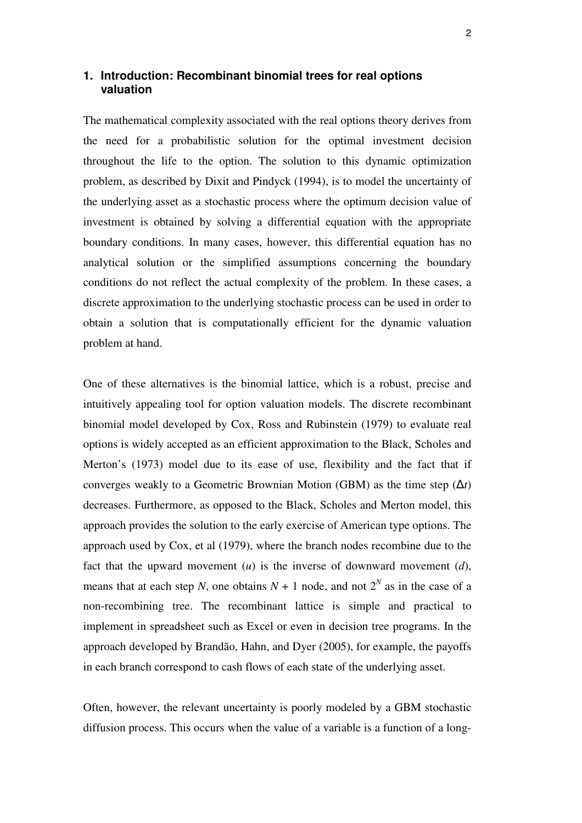## **1. Introduction: Recombinant binomial trees for real options valuation**

The mathematical complexity associated with the real options theory derives from the need for a probabilistic solution for the optimal investment decision throughout the life to the option. The solution to this dynamic optimization problem, as described by Dixit and Pindyck (1994), is to model the uncertainty of the underlying asset as a stochastic process where the optimum decision value of investment is obtained by solving a differential equation with the appropriate boundary conditions. In many cases, however, this differential equation has no analytical solution or the simplified assumptions concerning the boundary conditions do not reflect the actual complexity of the problem. In these cases, a discrete approximation to the underlying stochastic process can be used in order to obtain a solution that is computationally efficient for the dynamic valuation problem at hand.

One of these alternatives is the binomial lattice, which is a robust, precise and intuitively appealing tool for option valuation models. The discrete recombinant binomial model developed by Cox, Ross and Rubinstein (1979) to evaluate real options is widely accepted as an efficient approximation to the Black, Scholes and Merton's (1973) model due to its ease of use, flexibility and the fact that if converges weakly to a Geometric Brownian Motion (GBM) as the time step  $(\Delta t)$ decreases. Furthermore, as opposed to the Black, Scholes and Merton model, this approach provides the solution to the early exercise of American type options. The approach used by Cox, et al (1979), where the branch nodes recombine due to the fact that the upward movement  $(u)$  is the inverse of downward movement  $(d)$ , means that at each step *N*, one obtains  $N + 1$  node, and not  $2^N$  as in the case of a non-recombining tree. The recombinant lattice is simple and practical to implement in spreadsheet such as Excel or even in decision tree programs. In the approach developed by Brandão, Hahn, and Dyer (2005), for example, the payoffs in each branch correspond to cash flows of each state of the underlying asset.

Often, however, the relevant uncertainty is poorly modeled by a GBM stochastic diffusion process. This occurs when the value of a variable is a function of a long-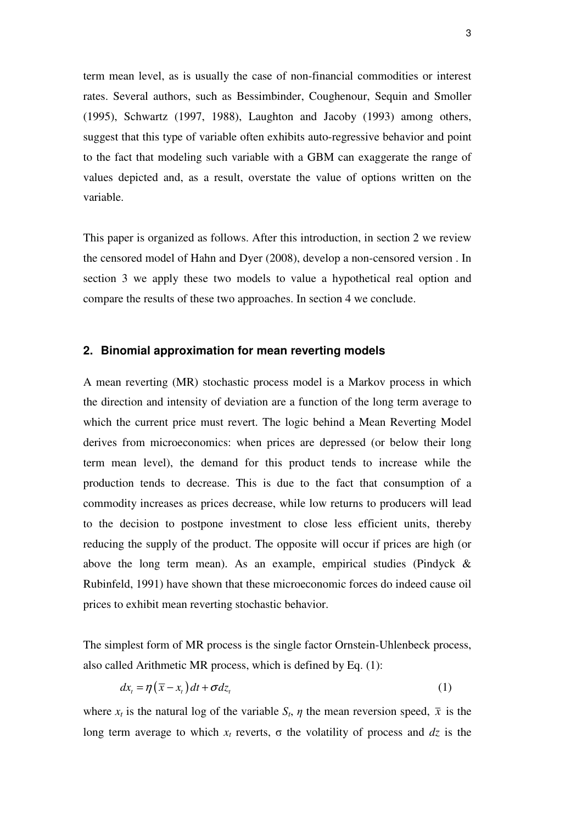term mean level, as is usually the case of non-financial commodities or interest rates. Several authors, such as Bessimbinder, Coughenour, Sequin and Smoller (1995), Schwartz (1997, 1988), Laughton and Jacoby (1993) among others, suggest that this type of variable often exhibits auto-regressive behavior and point to the fact that modeling such variable with a GBM can exaggerate the range of values depicted and, as a result, overstate the value of options written on the variable.

This paper is organized as follows. After this introduction, in section 2 we review the censored model of Hahn and Dyer (2008), develop a non-censored version . In section 3 we apply these two models to value a hypothetical real option and compare the results of these two approaches. In section 4 we conclude.

#### **2. Binomial approximation for mean reverting models**

A mean reverting (MR) stochastic process model is a Markov process in which the direction and intensity of deviation are a function of the long term average to which the current price must revert. The logic behind a Mean Reverting Model derives from microeconomics: when prices are depressed (or below their long term mean level), the demand for this product tends to increase while the production tends to decrease. This is due to the fact that consumption of a commodity increases as prices decrease, while low returns to producers will lead to the decision to postpone investment to close less efficient units, thereby reducing the supply of the product. The opposite will occur if prices are high (or above the long term mean). As an example, empirical studies (Pindyck & Rubinfeld, 1991) have shown that these microeconomic forces do indeed cause oil prices to exhibit mean reverting stochastic behavior.

The simplest form of MR process is the single factor Ornstein-Uhlenbeck process, also called Arithmetic MR process, which is defined by Eq. (1):

$$
dx_{t} = \eta(\bar{x} - x_{t})dt + \sigma dz_{t}
$$
 (1)

where  $x_t$  is the natural log of the variable  $S_t$ ,  $\eta$  the mean reversion speed,  $\bar{x}$  is the long term average to which  $x_t$  reverts,  $\sigma$  the volatility of process and  $dz$  is the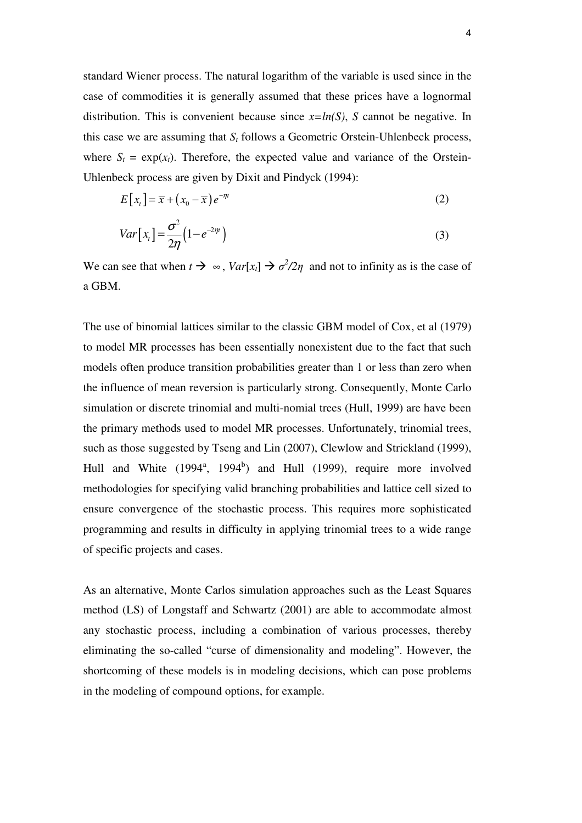standard Wiener process. The natural logarithm of the variable is used since in the case of commodities it is generally assumed that these prices have a lognormal distribution. This is convenient because since  $x=ln(S)$ , *S* cannot be negative. In this case we are assuming that *S<sup>t</sup>* follows a Geometric Orstein-Uhlenbeck process, where  $S_t = \exp(x_t)$ . Therefore, the expected value and variance of the Orstein-Uhlenbeck process are given by Dixit and Pindyck (1994):

$$
E[x_t] = \overline{x} + (x_0 - \overline{x})e^{-\eta t}
$$
\n<sup>(2)</sup>

$$
Var[x_t] = \frac{\sigma^2}{2\eta} \left( 1 - e^{-2\eta t} \right)
$$
 (3)

We can see that when  $t \to \infty$ ,  $Var[x_t] \to \sigma^2/2\eta$  and not to infinity as is the case of a GBM.

The use of binomial lattices similar to the classic GBM model of Cox, et al (1979) to model MR processes has been essentially nonexistent due to the fact that such models often produce transition probabilities greater than 1 or less than zero when the influence of mean reversion is particularly strong. Consequently, Monte Carlo simulation or discrete trinomial and multi-nomial trees (Hull, 1999) are have been the primary methods used to model MR processes. Unfortunately, trinomial trees, such as those suggested by Tseng and Lin (2007), Clewlow and Strickland (1999), Hull and White  $(1994^a, 1994^b)$  and Hull  $(1999)$ , require more involved methodologies for specifying valid branching probabilities and lattice cell sized to ensure convergence of the stochastic process. This requires more sophisticated programming and results in difficulty in applying trinomial trees to a wide range of specific projects and cases.

As an alternative, Monte Carlos simulation approaches such as the Least Squares method (LS) of Longstaff and Schwartz (2001) are able to accommodate almost any stochastic process, including a combination of various processes, thereby eliminating the so-called "curse of dimensionality and modeling". However, the shortcoming of these models is in modeling decisions, which can pose problems in the modeling of compound options, for example.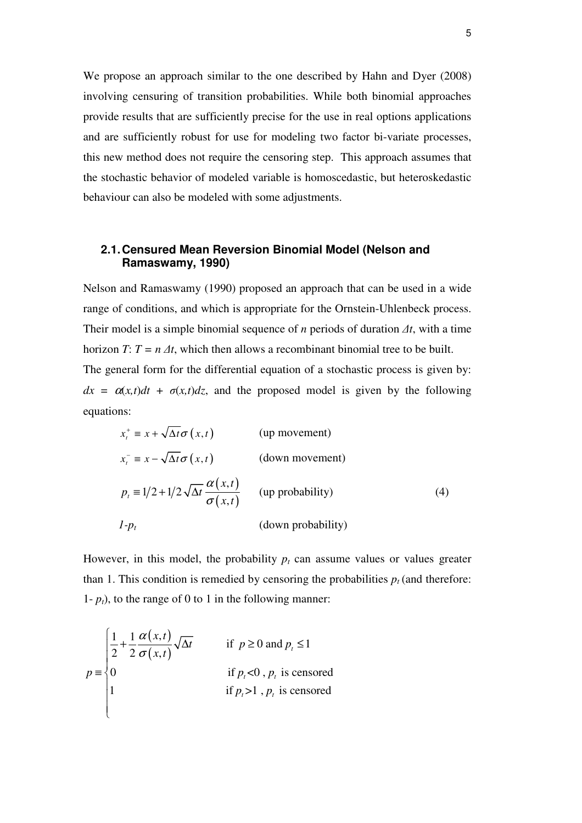We propose an approach similar to the one described by Hahn and Dyer (2008) involving censuring of transition probabilities. While both binomial approaches provide results that are sufficiently precise for the use in real options applications and are sufficiently robust for use for modeling two factor bi-variate processes, this new method does not require the censoring step. This approach assumes that the stochastic behavior of modeled variable is homoscedastic, but heteroskedastic behaviour can also be modeled with some adjustments.

## **2.1. Censured Mean Reversion Binomial Model (Nelson and Ramaswamy, 1990)**

Nelson and Ramaswamy (1990) proposed an approach that can be used in a wide range of conditions, and which is appropriate for the Ornstein-Uhlenbeck process. Their model is a simple binomial sequence of *n* periods of duration ∆*t*, with a time horizon *T*:  $T = n \Delta t$ , which then allows a recombinant binomial tree to be built. The general form for the differential equation of a stochastic process is given by:  $dx = \alpha(x,t)dt + \sigma(x,t)dz$ , and the proposed model is given by the following equations:

$$
x_t^+ \equiv x + \sqrt{\Delta t} \sigma(x, t)
$$
 (up movement)  
\n
$$
x_t^- \equiv x - \sqrt{\Delta t} \sigma(x, t)
$$
 (down movement)  
\n
$$
p_t \equiv 1/2 + 1/2 \sqrt{\Delta t} \frac{\alpha(x, t)}{\sigma(x, t)}
$$
 (up probability)  
\n
$$
1-p_t
$$
 (down probability) (4)

However, in this model, the probability  $p_t$  can assume values or values greater than 1. This condition is remedied by censoring the probabilities  $p_t$  (and therefore: 1-  $p_t$ ), to the range of 0 to 1 in the following manner:

$$
p \equiv \begin{cases} \frac{1}{2} + \frac{1}{2} \frac{\alpha(x,t)}{\sigma(x,t)} \sqrt{\Delta t} & \text{if } p \ge 0 \text{ and } p_t \le 1\\ 0 & \text{if } p_t < 0, p_t \text{ is censored} \\ 1 & \text{if } p_t > 1, p_t \text{ is censored} \end{cases}
$$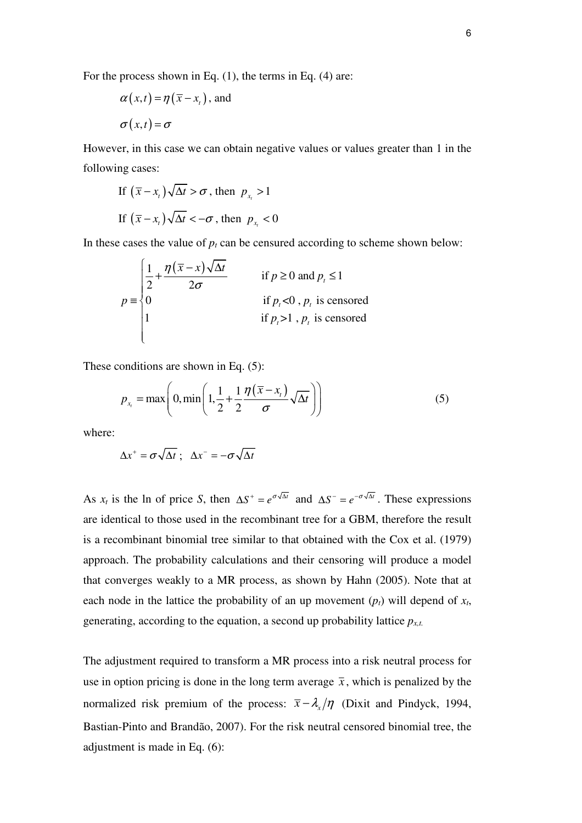For the process shown in Eq. (1), the terms in Eq. (4) are:

$$
\alpha(x,t) = \eta(\overline{x} - x_t), \text{ and}
$$

$$
\sigma(x,t) = \sigma
$$

However, in this case we can obtain negative values or values greater than 1 in the following cases:

If 
$$
(\overline{x} - x_t)\sqrt{\Delta t} > \sigma
$$
, then  $p_{x_t} > 1$   
If  $(\overline{x} - x_t)\sqrt{\Delta t} < -\sigma$ , then  $p_{x_t} < 0$ 

In these cases the value of  $p_t$  can be censured according to scheme shown below:

$$
p \equiv \begin{cases} \frac{1}{2} + \frac{\eta(\overline{x} - x)\sqrt{\Delta t}}{2\sigma} & \text{if } p \ge 0 \text{ and } p_t \le 1\\ 0 & \text{if } p_t < 0, p_t \text{ is censored} \\ 1 & \text{if } p_t > 1, p_t \text{ is censored} \end{cases}
$$

These conditions are shown in Eq. (5):

$$
p_{x_t} = \max\left(0, \min\left(1, \frac{1}{2} + \frac{1}{2} \frac{\eta(\overline{x} - x_t)}{\sigma} \sqrt{\Delta t}\right)\right) \tag{5}
$$

where:

$$
\Delta x^+ = \sigma \sqrt{\Delta t} \; ; \; \Delta x^- = -\sigma \sqrt{\Delta t}
$$

As  $x_t$  is the ln of price *S*, then  $\Delta S^+ = e^{\sigma \sqrt{\Delta t}}$  and  $\Delta S^- = e^{-\sigma \sqrt{\Delta t}}$ . These expressions are identical to those used in the recombinant tree for a GBM, therefore the result is a recombinant binomial tree similar to that obtained with the Cox et al. (1979) approach. The probability calculations and their censoring will produce a model that converges weakly to a MR process, as shown by Hahn (2005). Note that at each node in the lattice the probability of an up movement  $(p_t)$  will depend of  $x_t$ , generating, according to the equation, a second up probability lattice *px,t.*

The adjustment required to transform a MR process into a risk neutral process for use in option pricing is done in the long term average  $\bar{x}$ , which is penalized by the normalized risk premium of the process:  $\bar{x} - \lambda_x/\eta$  (Dixit and Pindyck, 1994, Bastian-Pinto and Brandão, 2007). For the risk neutral censored binomial tree, the adjustment is made in Eq. (6):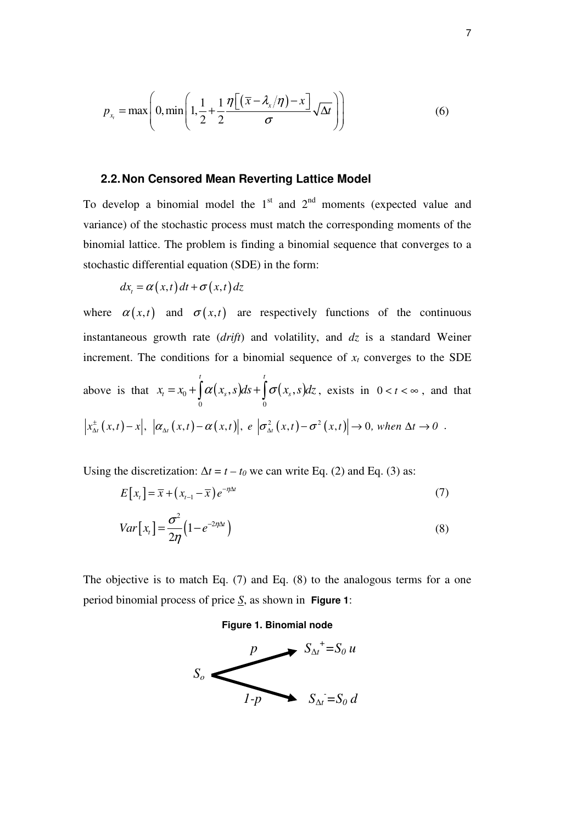$$
p_{x_t} = \max\left(0, \min\left(1, \frac{1}{2} + \frac{1}{2} \frac{\eta\left[\left(\overline{x} - \lambda_x/\eta\right) - x\right]}{\sigma} \sqrt{\Delta t}\right)\right) \tag{6}
$$

### **2.2. Non Censored Mean Reverting Lattice Model**

To develop a binomial model the  $1<sup>st</sup>$  and  $2<sup>nd</sup>$  moments (expected value and variance) of the stochastic process must match the corresponding moments of the binomial lattice. The problem is finding a binomial sequence that converges to a stochastic differential equation (SDE) in the form:

$$
dx_t = \alpha(x, t) dt + \sigma(x, t) dz
$$

where  $\alpha(x,t)$  and  $\sigma(x,t)$  are respectively functions of the continuous instantaneous growth rate (*drift*) and volatility, and *dz* is a standard Weiner increment. The conditions for a binomial sequence of  $x_t$  converges to the SDE

above is that 
$$
x_t = x_0 + \int_0^t \alpha(x_s, s) ds + \int_0^t \sigma(x_s, s) dz
$$
, exists in  $0 < t < \infty$ , and that   
 $|x_{\Delta t}^{\pm}(x, t) - x|, |\alpha_{\Delta t}(x, t) - \alpha(x, t)|, e |\sigma_{\Delta t}^2(x, t) - \sigma^2(x, t)| \to 0$ , when  $\Delta t \to 0$ .

Using the discretization:  $\Delta t = t - t_0$  we can write Eq. (2) and Eq. (3) as:

$$
E[x_t] = \overline{x} + (x_{t-1} - \overline{x})e^{-\eta \Delta t}
$$
\n<sup>(7)</sup>

$$
Var[x_t] = \frac{\sigma^2}{2\eta} \left( 1 - e^{-2\eta \Delta t} \right)
$$
\n(8)

The objective is to match Eq. (7) and Eq. (8) to the analogous terms for a one period binomial process of price *S*, as shown in **Figure 1**:

#### **Figure 1. Binomial node**

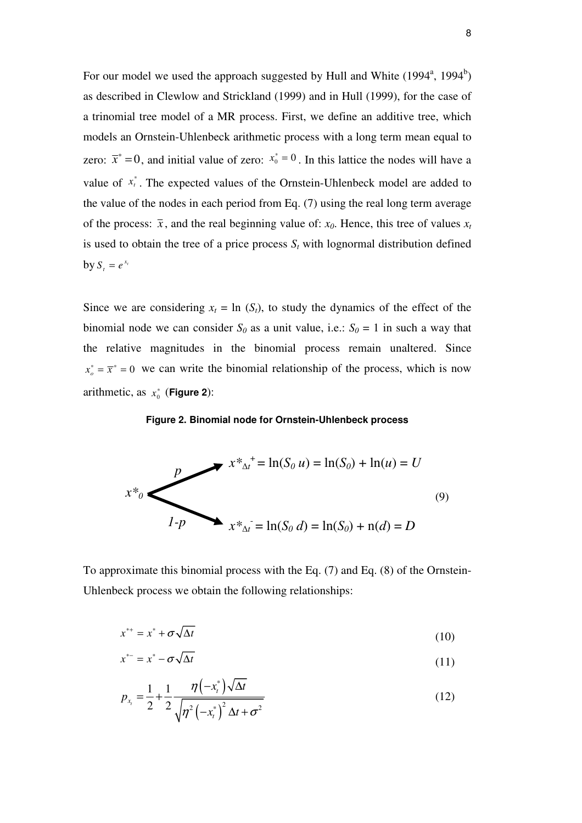For our model we used the approach suggested by Hull and White  $(1994^a, 1994^b)$ as described in Clewlow and Strickland (1999) and in Hull (1999), for the case of a trinomial tree model of a MR process. First, we define an additive tree, which models an Ornstein-Uhlenbeck arithmetic process with a long term mean equal to zero:  $\bar{x}^* = 0$ , and initial value of zero:  $x_0^* = 0$ . In this lattice the nodes will have a value of  $x_t^*$ . The expected values of the Ornstein-Uhlenbeck model are added to the value of the nodes in each period from Eq. (7) using the real long term average of the process:  $\bar{x}$ , and the real beginning value of:  $x_0$ . Hence, this tree of values  $x_t$ is used to obtain the tree of a price process  $S_t$  with lognormal distribution defined by  $S_t = e^{x_t}$ 

Since we are considering  $x_t = \ln(S_t)$ , to study the dynamics of the effect of the binomial node we can consider  $S_0$  as a unit value, i.e.:  $S_0 = 1$  in such a way that the relative magnitudes in the binomial process remain unaltered. Since  $x_o^* = \overline{x}^* = 0$  we can write the binomial relationship of the process, which is now arithmetic, as  $x_0^*$  (**Figure 2**):



$$
x *_{\Delta t}^+ = \ln(S_0 u) = \ln(S_0) + \ln(u) = U
$$
  
(9)  

$$
1 - p \qquad x *_{\Delta t}^- = \ln(S_0 d) = \ln(S_0) + \ln(d) = D
$$

To approximate this binomial process with the Eq. (7) and Eq. (8) of the Ornstein-Uhlenbeck process we obtain the following relationships:

$$
x^{**} = x^* + \sigma \sqrt{\Delta t} \tag{10}
$$

$$
x^* = x^* - \sigma \sqrt{\Delta t} \tag{11}
$$

$$
p_{x_t} = \frac{1}{2} + \frac{1}{2} \frac{\eta(-x_t^*)\sqrt{\Delta t}}{\sqrt{\eta^2(-x_t^*)^2 \Delta t + \sigma^2}}
$$
(12)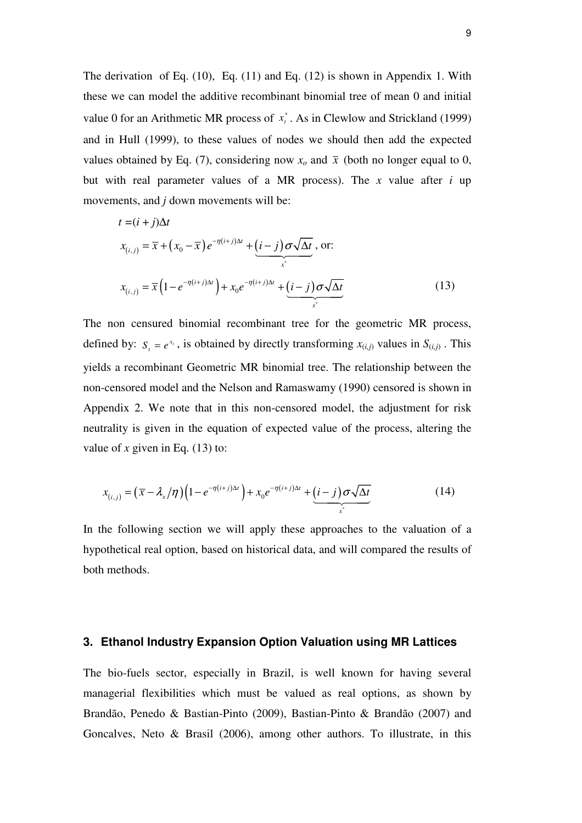The derivation of Eq. (10), Eq. (11) and Eq. (12) is shown in Appendix 1. With these we can model the additive recombinant binomial tree of mean 0 and initial value 0 for an Arithmetic MR process of  $x_t^*$ . As in Clewlow and Strickland (1999) and in Hull (1999), to these values of nodes we should then add the expected values obtained by Eq. (7), considering now  $x<sub>o</sub>$  and  $\bar{x}$  (both no longer equal to 0, but with real parameter values of a MR process). The *x* value after *i* up movements, and *j* down movements will be:

$$
t = (i + j)\Delta t
$$
  
\n
$$
x_{(i,j)} = \overline{x} + (x_0 - \overline{x})e^{-\eta(i+j)\Delta t} + (i - j)\sigma\sqrt{\Delta t}, \text{ or:}
$$
  
\n
$$
x_{(i,j)} = \overline{x}(1 - e^{-\eta(i+j)\Delta t}) + x_0e^{-\eta(i+j)\Delta t} + (i - j)\sigma\sqrt{\Delta t}
$$
  
\n(13)

The non censured binomial recombinant tree for the geometric MR process, defined by:  $S_t = e^{x_t}$ , is obtained by directly transforming  $x_{(i,j)}$  values in  $S_{(i,j)}$ . This yields a recombinant Geometric MR binomial tree. The relationship between the non-censored model and the Nelson and Ramaswamy (1990) censored is shown in Appendix 2. We note that in this non-censored model, the adjustment for risk neutrality is given in the equation of expected value of the process, altering the value of  $x$  given in Eq. (13) to:

$$
x_{(i,j)} = (\overline{x} - \lambda_x/\eta) \left(1 - e^{-\eta(i+j)\Delta t}\right) + x_0 e^{-\eta(i+j)\Delta t} + \underbrace{(i-j)\sigma\sqrt{\Delta t}}_{x^*}
$$
 (14)

In the following section we will apply these approaches to the valuation of a hypothetical real option, based on historical data, and will compared the results of both methods.

### **3. Ethanol Industry Expansion Option Valuation using MR Lattices**

The bio-fuels sector, especially in Brazil, is well known for having several managerial flexibilities which must be valued as real options, as shown by Brandão, Penedo & Bastian-Pinto (2009), Bastian-Pinto & Brandão (2007) and Goncalves, Neto & Brasil (2006), among other authors. To illustrate, in this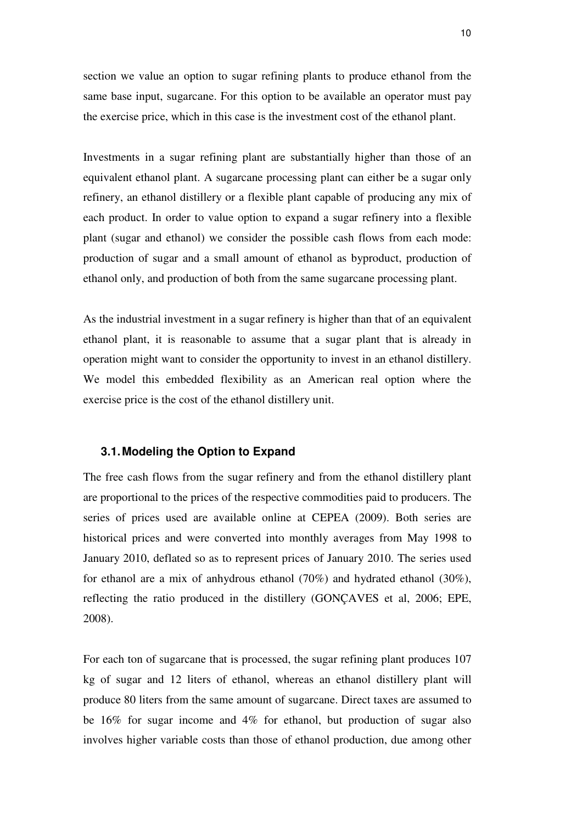section we value an option to sugar refining plants to produce ethanol from the same base input, sugarcane. For this option to be available an operator must pay the exercise price, which in this case is the investment cost of the ethanol plant.

Investments in a sugar refining plant are substantially higher than those of an equivalent ethanol plant. A sugarcane processing plant can either be a sugar only refinery, an ethanol distillery or a flexible plant capable of producing any mix of each product. In order to value option to expand a sugar refinery into a flexible plant (sugar and ethanol) we consider the possible cash flows from each mode: production of sugar and a small amount of ethanol as byproduct, production of ethanol only, and production of both from the same sugarcane processing plant.

As the industrial investment in a sugar refinery is higher than that of an equivalent ethanol plant, it is reasonable to assume that a sugar plant that is already in operation might want to consider the opportunity to invest in an ethanol distillery. We model this embedded flexibility as an American real option where the exercise price is the cost of the ethanol distillery unit.

### **3.1. Modeling the Option to Expand**

The free cash flows from the sugar refinery and from the ethanol distillery plant are proportional to the prices of the respective commodities paid to producers. The series of prices used are available online at CEPEA (2009). Both series are historical prices and were converted into monthly averages from May 1998 to January 2010, deflated so as to represent prices of January 2010. The series used for ethanol are a mix of anhydrous ethanol (70%) and hydrated ethanol (30%), reflecting the ratio produced in the distillery (GONÇAVES et al, 2006; EPE, 2008).

For each ton of sugarcane that is processed, the sugar refining plant produces 107 kg of sugar and 12 liters of ethanol, whereas an ethanol distillery plant will produce 80 liters from the same amount of sugarcane. Direct taxes are assumed to be 16% for sugar income and 4% for ethanol, but production of sugar also involves higher variable costs than those of ethanol production, due among other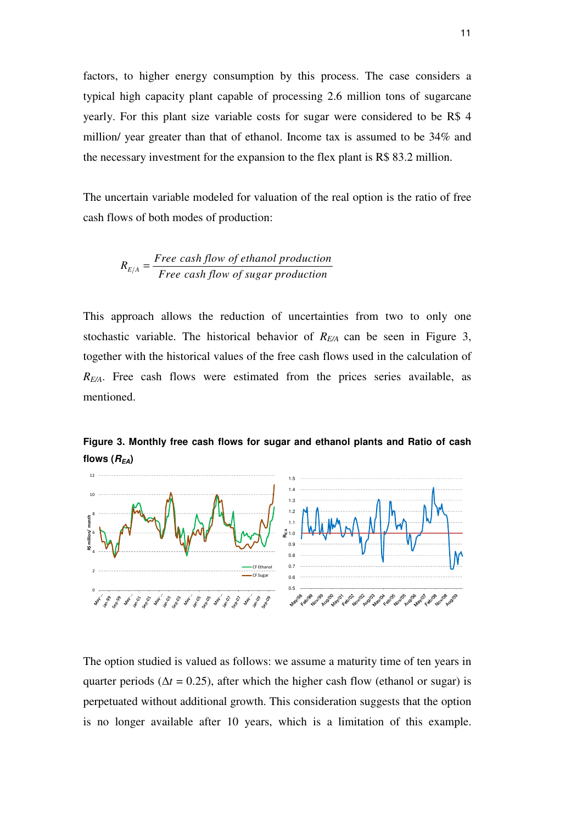factors, to higher energy consumption by this process. The case considers a typical high capacity plant capable of processing 2.6 million tons of sugarcane yearly. For this plant size variable costs for sugar were considered to be R\$ 4 million/ year greater than that of ethanol. Income tax is assumed to be 34% and the necessary investment for the expansion to the flex plant is R\$ 83.2 million.

The uncertain variable modeled for valuation of the real option is the ratio of free cash flows of both modes of production:

$$
R_{E/A} = \frac{Free \ cash \ flow \ of \ ethanol \ production}{Free \ cash \ flow \ of \ sugar \ production}
$$

This approach allows the reduction of uncertainties from two to only one stochastic variable. The historical behavior of *RE/A* can be seen in Figure 3, together with the historical values of the free cash flows used in the calculation of *RE/A*. Free cash flows were estimated from the prices series available, as mentioned.



**Figure 3. Monthly free cash flows for sugar and ethanol plants and Ratio of cash flows**  $(R_{EA})$ 

The option studied is valued as follows: we assume a maturity time of ten years in quarter periods ( $\Delta t = 0.25$ ), after which the higher cash flow (ethanol or sugar) is perpetuated without additional growth. This consideration suggests that the option is no longer available after 10 years, which is a limitation of this example.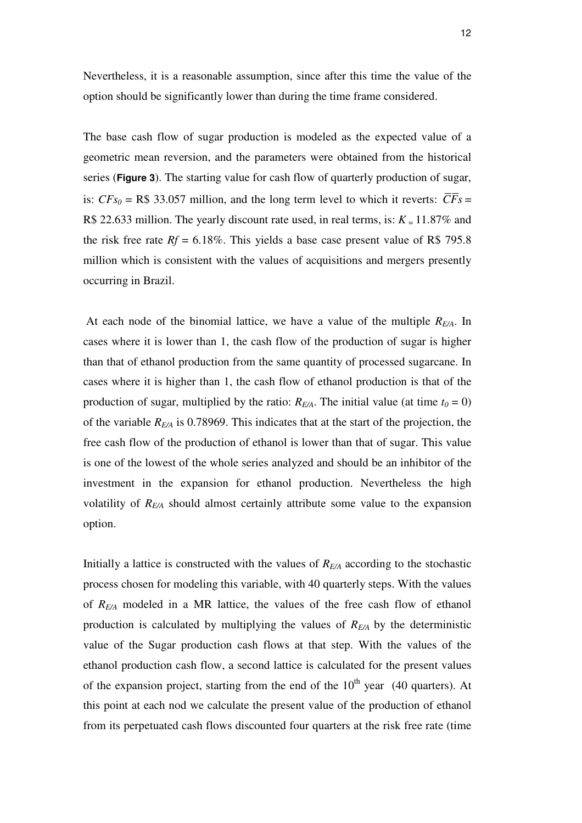Nevertheless, it is a reasonable assumption, since after this time the value of the option should be significantly lower than during the time frame considered.

The base cash flow of sugar production is modeled as the expected value of a geometric mean reversion, and the parameters were obtained from the historical series (**Figure 3**). The starting value for cash flow of quarterly production of sugar, is:  $CFs_0 = \mathbb{R} \$  33.057 million, and the long term level to which it reverts:  $\overline{CF} s =$ R\$ 22.633 million. The yearly discount rate used, in real terms, is:  $K = 11.87\%$  and the risk free rate  $Rf = 6.18\%$ . This yields a base case present value of R\$ 795.8 million which is consistent with the values of acquisitions and mergers presently occurring in Brazil.

 At each node of the binomial lattice, we have a value of the multiple *RE/A*. In cases where it is lower than 1, the cash flow of the production of sugar is higher than that of ethanol production from the same quantity of processed sugarcane. In cases where it is higher than 1, the cash flow of ethanol production is that of the production of sugar, multiplied by the ratio:  $R_{E/A}$ . The initial value (at time  $t_0 = 0$ ) of the variable *RE/A* is 0.78969. This indicates that at the start of the projection, the free cash flow of the production of ethanol is lower than that of sugar. This value is one of the lowest of the whole series analyzed and should be an inhibitor of the investment in the expansion for ethanol production. Nevertheless the high volatility of *RE/A* should almost certainly attribute some value to the expansion option.

Initially a lattice is constructed with the values of *RE/A* according to the stochastic process chosen for modeling this variable, with 40 quarterly steps. With the values of *RE/A* modeled in a MR lattice, the values of the free cash flow of ethanol production is calculated by multiplying the values of *RE/A* by the deterministic value of the Sugar production cash flows at that step. With the values of the ethanol production cash flow, a second lattice is calculated for the present values of the expansion project, starting from the end of the  $10<sup>th</sup>$  year (40 quarters). At this point at each nod we calculate the present value of the production of ethanol from its perpetuated cash flows discounted four quarters at the risk free rate (time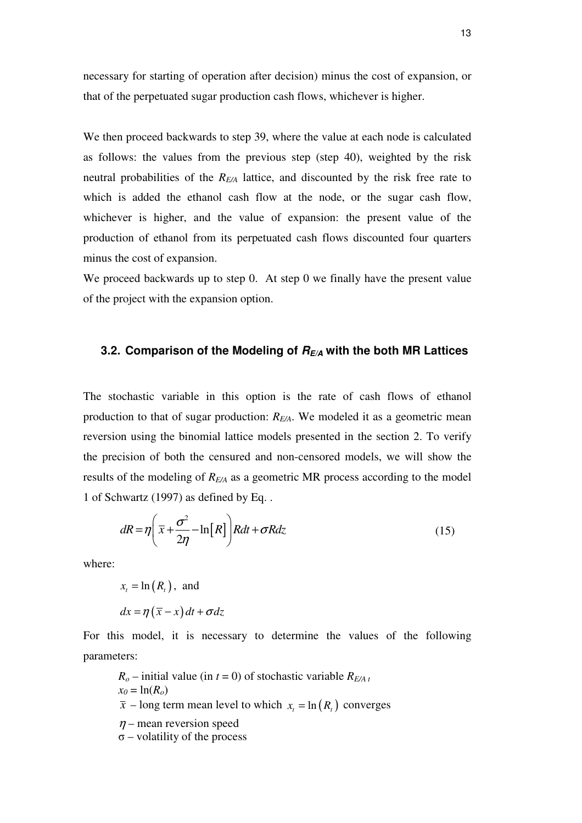necessary for starting of operation after decision) minus the cost of expansion, or that of the perpetuated sugar production cash flows, whichever is higher.

We then proceed backwards to step 39, where the value at each node is calculated as follows: the values from the previous step (step 40), weighted by the risk neutral probabilities of the *RE/A* lattice, and discounted by the risk free rate to which is added the ethanol cash flow at the node, or the sugar cash flow, whichever is higher, and the value of expansion: the present value of the production of ethanol from its perpetuated cash flows discounted four quarters minus the cost of expansion.

We proceed backwards up to step 0. At step 0 we finally have the present value of the project with the expansion option.

#### **3.2. Comparison of the Modeling of RE/A with the both MR Lattices**

The stochastic variable in this option is the rate of cash flows of ethanol production to that of sugar production: *RE/A*. We modeled it as a geometric mean reversion using the binomial lattice models presented in the section 2. To verify the precision of both the censured and non-censored models, we will show the results of the modeling of *RE/A* as a geometric MR process according to the model 1 of Schwartz (1997) as defined by Eq. .

$$
dR = \eta \left( \overline{x} + \frac{\sigma^2}{2\eta} - \ln[R] \right) R dt + \sigma R dz \tag{15}
$$

where:

 $x_t = \ln(R_t)$ , and  $dx = \eta(\overline{x} - x) dt + \sigma dz$ 

For this model, it is necessary to determine the values of the following parameters:

 $R_o$  – initial value (in *t* = 0) of stochastic variable  $R_{E/A}$  *t*  $x_0 = \ln(R_o)$  $\bar{x}$  – long term mean level to which  $x_t = \ln(R_t)$  converges  $n$  – mean reversion speed  $\sigma$  – volatility of the process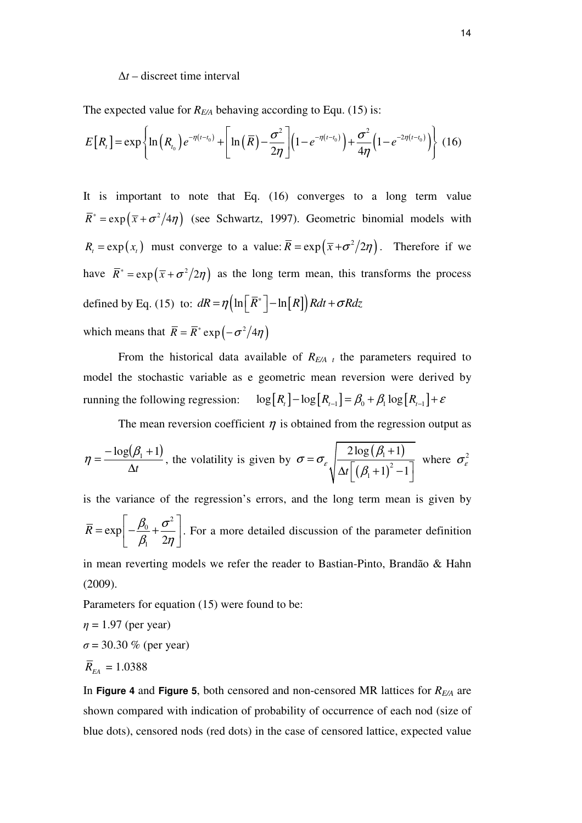#### ∆*t* – discreet time interval

The expected value for *RE/A* behaving according to Equ. (15) is:

$$
E[R_{t}] = \exp\left\{\ln\left(R_{t_{0}}\right)e^{-\eta\left(t-t_{0}\right)} + \left[\ln\left(\bar{R}\right) - \frac{\sigma^{2}}{2\eta}\right]\left(1 - e^{-\eta\left(t-t_{0}\right)}\right) + \frac{\sigma^{2}}{4\eta}\left(1 - e^{-2\eta\left(t-t_{0}\right)}\right)\right\}
$$
(16)

It is important to note that Eq. (16) converges to a long term value  $\overline{R}^* = \exp(\overline{x} + \sigma^2/4\eta)$  (see Schwartz, 1997). Geometric binomial models with  $R_{i} = \exp(x_{i})$  must converge to a value:  $\bar{R} = \exp(\bar{x} + \sigma^2/2\eta)$ . Therefore if we have  $\overline{R}^* = \exp(\overline{x} + \sigma^2/2\eta)$  as the long term mean, this transforms the process defined by Eq. (15) to:  $dR = \eta \left( \ln \left[ \overline{R}^* \right] - \ln \left[ R \right] \right) R dt + \sigma R dz$ which means that  $\overline{R} = \overline{R}^* \exp \left(-\sigma^2/4\eta\right)$ 

From the historical data available of  $R_{E/A}$  the parameters required to model the stochastic variable as e geometric mean reversion were derived by running the following regression:  $\log [R_{t}] - \log [R_{t-1}] = \beta_0 + \beta_1 \log [R_{t-1}] + \varepsilon$ 

The mean reversion coefficient  $\eta$  is obtained from the regression output as

$$
\eta = \frac{-\log(\beta_1 + 1)}{\Delta t}
$$
, the volatility is given by  $\sigma = \sigma_{\varepsilon} \sqrt{\frac{2\log(\beta_1 + 1)}{\Delta t \left[ (\beta_1 + 1)^2 - 1 \right]}}$  where  $\sigma_{\varepsilon}^2$ 

is the variance of the regression's errors, and the long term mean is given by 2  $\overline{0}$ 1 exp 2  $\bar{R} = \exp \left(-\frac{\beta_0}{2} + \frac{\sigma}{2}\right)$  $\beta_1$  2η  $\left[\begin{array}{cc} \beta_0 & \sigma^2 \end{array}\right]$  $= \exp \left[-\frac{\mu_0}{\beta_1} + \frac{\nu}{2\eta}\right]$ . For a more detailed discussion of the parameter definition

in mean reverting models we refer the reader to Bastian-Pinto, Brandão & Hahn (2009).

Parameters for equation (15) were found to be:

$$
η = 1.97
$$
 (per year)  
\n $σ = 30.30 %$  (per year)  
\n $R_{EA} = 1.0388$ 

In **Figure 4** and **Figure 5**, both censored and non-censored MR lattices for *RE/A* are shown compared with indication of probability of occurrence of each nod (size of blue dots), censored nods (red dots) in the case of censored lattice, expected value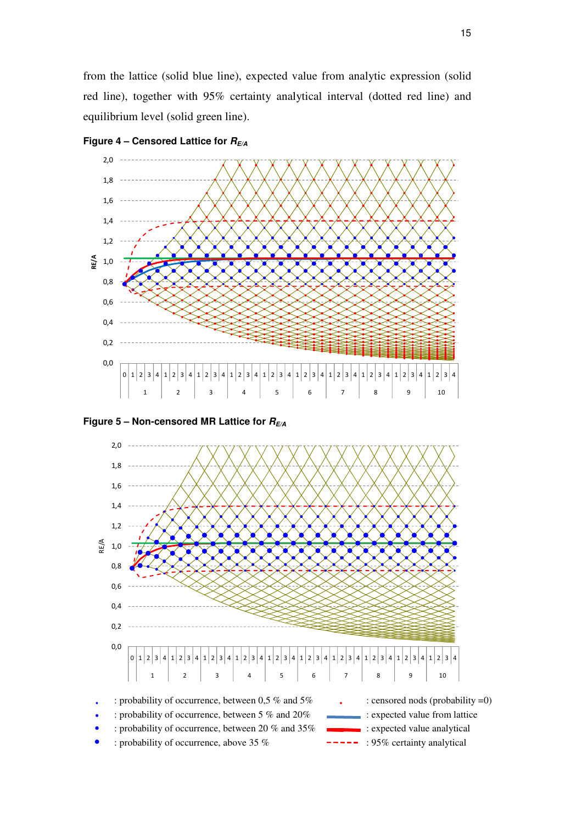from the lattice (solid blue line), expected value from analytic expression (solid red line), together with 95% certainty analytical interval (dotted red line) and equilibrium level (solid green line).



Figure 4 – Censored Lattice for  $R_{E/A}$ 

Figure  $5 - \text{Non-censored MR Lattice for } R_{E/A}$ 

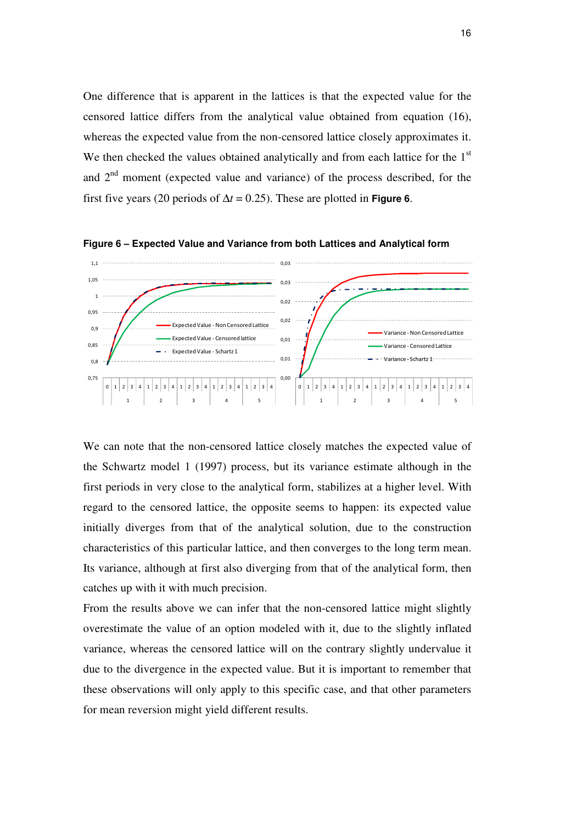One difference that is apparent in the lattices is that the expected value for the censored lattice differs from the analytical value obtained from equation (16), whereas the expected value from the non-censored lattice closely approximates it. We then checked the values obtained analytically and from each lattice for the  $1<sup>st</sup>$ and  $2<sup>nd</sup>$  moment (expected value and variance) of the process described, for the first five years (20 periods of  $\Delta t = 0.25$ ). These are plotted in **Figure 6**.



**Figure 6 – Expected Value and Variance from both Lattices and Analytical form** 

We can note that the non-censored lattice closely matches the expected value of the Schwartz model 1 (1997) process, but its variance estimate although in the first periods in very close to the analytical form, stabilizes at a higher level. With regard to the censored lattice, the opposite seems to happen: its expected value initially diverges from that of the analytical solution, due to the construction characteristics of this particular lattice, and then converges to the long term mean. Its variance, although at first also diverging from that of the analytical form, then catches up with it with much precision.

From the results above we can infer that the non-censored lattice might slightly overestimate the value of an option modeled with it, due to the slightly inflated variance, whereas the censored lattice will on the contrary slightly undervalue it due to the divergence in the expected value. But it is important to remember that these observations will only apply to this specific case, and that other parameters for mean reversion might yield different results.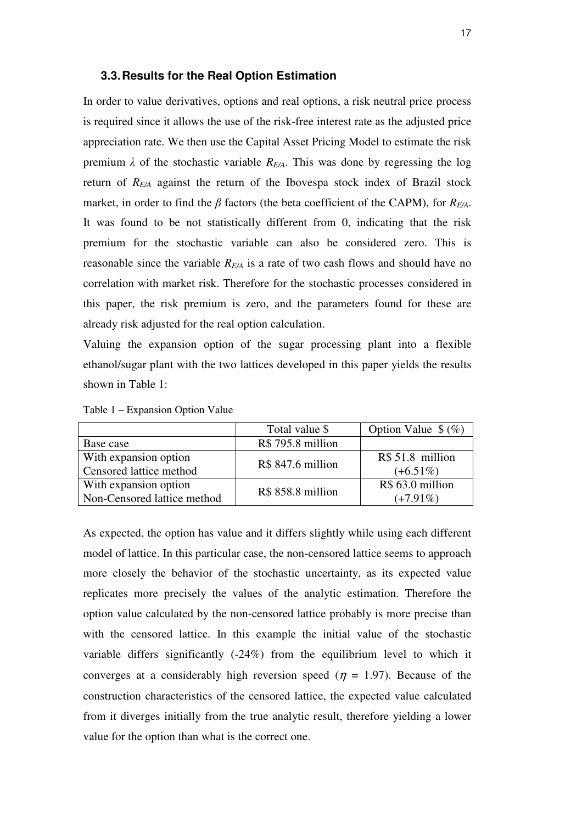#### **3.3. Results for the Real Option Estimation**

In order to value derivatives, options and real options, a risk neutral price process is required since it allows the use of the risk-free interest rate as the adjusted price appreciation rate. We then use the Capital Asset Pricing Model to estimate the risk premium  $\lambda$  of the stochastic variable  $R_{E/A}$ . This was done by regressing the log return of *RE/A* against the return of the Ibovespa stock index of Brazil stock market, in order to find the  $\beta$  factors (the beta coefficient of the CAPM), for  $R_{FA}$ . It was found to be not statistically different from 0, indicating that the risk premium for the stochastic variable can also be considered zero. This is reasonable since the variable *RE/A* is a rate of two cash flows and should have no correlation with market risk. Therefore for the stochastic processes considered in this paper, the risk premium is zero, and the parameters found for these are already risk adjusted for the real option calculation.

Valuing the expansion option of the sugar processing plant into a flexible ethanol/sugar plant with the two lattices developed in this paper yields the results shown in Table 1:

|  |  |  |  | Table 1 – Expansion Option Value |  |
|--|--|--|--|----------------------------------|--|
|--|--|--|--|----------------------------------|--|

|                             | Total value \$    | Option Value $\frac{6}{2}$ (%) |
|-----------------------------|-------------------|--------------------------------|
| Base case                   | R\$ 795.8 million |                                |
| With expansion option       | R\$ 847.6 million | R\$ 51.8 million               |
| Censored lattice method     |                   | $(+6.51\%)$                    |
| With expansion option       | R\$ 858.8 million | R\$ 63.0 million               |
| Non-Censored lattice method |                   | $(+7.91\%)$                    |

As expected, the option has value and it differs slightly while using each different model of lattice. In this particular case, the non-censored lattice seems to approach more closely the behavior of the stochastic uncertainty, as its expected value replicates more precisely the values of the analytic estimation. Therefore the option value calculated by the non-censored lattice probably is more precise than with the censored lattice. In this example the initial value of the stochastic variable differs significantly (-24%) from the equilibrium level to which it converges at a considerably high reversion speed ( $\eta = 1.97$ ). Because of the construction characteristics of the censored lattice, the expected value calculated from it diverges initially from the true analytic result, therefore yielding a lower value for the option than what is the correct one.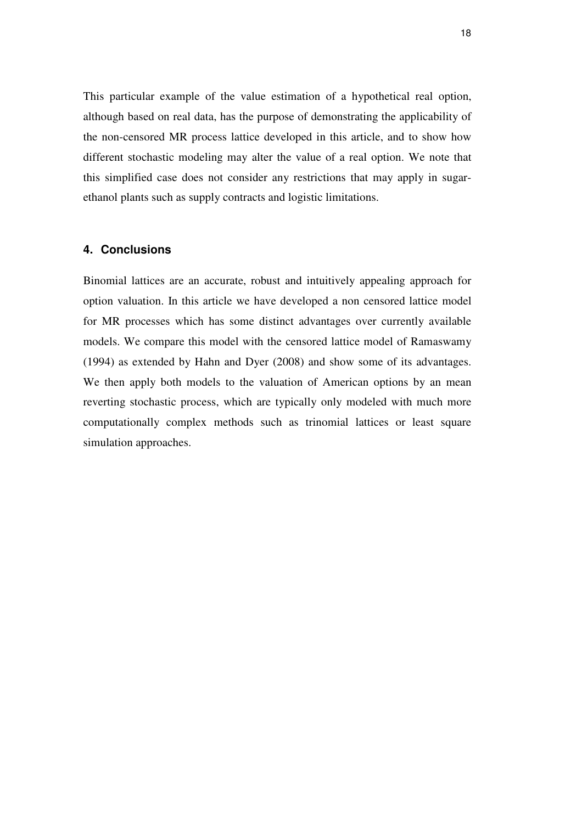This particular example of the value estimation of a hypothetical real option, although based on real data, has the purpose of demonstrating the applicability of the non-censored MR process lattice developed in this article, and to show how different stochastic modeling may alter the value of a real option. We note that this simplified case does not consider any restrictions that may apply in sugarethanol plants such as supply contracts and logistic limitations.

#### **4. Conclusions**

Binomial lattices are an accurate, robust and intuitively appealing approach for option valuation. In this article we have developed a non censored lattice model for MR processes which has some distinct advantages over currently available models. We compare this model with the censored lattice model of Ramaswamy (1994) as extended by Hahn and Dyer (2008) and show some of its advantages. We then apply both models to the valuation of American options by an mean reverting stochastic process, which are typically only modeled with much more computationally complex methods such as trinomial lattices or least square simulation approaches.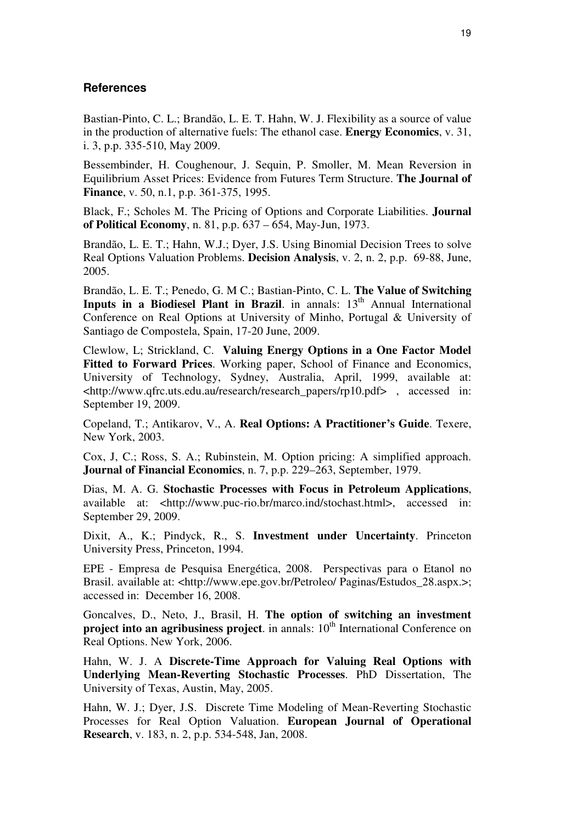### **References**

Bastian-Pinto, C. L.; Brandão, L. E. T. Hahn, W. J. Flexibility as a source of value in the production of alternative fuels: The ethanol case. **Energy Economics**, v. 31, i. 3, p.p. 335-510, May 2009.

Bessembinder, H. Coughenour, J. Sequin, P. Smoller, M. Mean Reversion in Equilibrium Asset Prices: Evidence from Futures Term Structure. **The Journal of Finance**, v. 50, n.1, p.p. 361-375, 1995.

Black, F.; Scholes M. The Pricing of Options and Corporate Liabilities. **Journal of Political Economy**, n. 81, p.p. 637 – 654, May-Jun, 1973.

Brandão, L. E. T.; Hahn, W.J.; Dyer, J.S. Using Binomial Decision Trees to solve Real Options Valuation Problems. **Decision Analysis**, v. 2, n. 2, p.p. 69-88, June, 2005.

Brandão, L. E. T.; Penedo, G. M C.; Bastian-Pinto, C. L. **The Value of Switching Inputs in a Biodiesel Plant in Brazil**. in annals: 13<sup>th</sup> Annual International Conference on Real Options at University of Minho, Portugal & University of Santiago de Compostela, Spain, 17-20 June, 2009.

Clewlow, L; Strickland, C. **Valuing Energy Options in a One Factor Model Fitted to Forward Prices**. Working paper, School of Finance and Economics, University of Technology, Sydney, Australia, April, 1999, available at: <http://www.qfrc.uts.edu.au/research/research\_papers/rp10.pdf> , accessed in: September 19, 2009.

Copeland, T.; Antikarov, V., A. **Real Options: A Practitioner's Guide**. Texere, New York, 2003.

Cox, J, C.; Ross, S. A.; Rubinstein, M. Option pricing: A simplified approach. **Journal of Financial Economics**, n. 7, p.p. 229–263, September, 1979.

Dias, M. A. G. **Stochastic Processes with Focus in Petroleum Applications**, available at: <http://www.puc-rio.br/marco.ind/stochast.html>, accessed in: September 29, 2009.

Dixit, A., K.; Pindyck, R., S. **Investment under Uncertainty**. Princeton University Press, Princeton, 1994.

EPE - Empresa de Pesquisa Energética, 2008. Perspectivas para o Etanol no Brasil. available at: <http://www.epe.gov.br/Petroleo/ Paginas/Estudos\_28.aspx.>; accessed in: December 16, 2008.

Goncalves, D., Neto, J., Brasil, H. **The option of switching an investment project into an agribusiness project**. in annals: 10<sup>th</sup> International Conference on Real Options. New York, 2006.

Hahn, W. J. A **Discrete-Time Approach for Valuing Real Options with Underlying Mean-Reverting Stochastic Processes**. PhD Dissertation, The University of Texas, Austin, May, 2005.

Hahn, W. J.; Dyer, J.S. Discrete Time Modeling of Mean-Reverting Stochastic Processes for Real Option Valuation. **European Journal of Operational Research**, v. 183, n. 2, p.p. 534-548, Jan, 2008.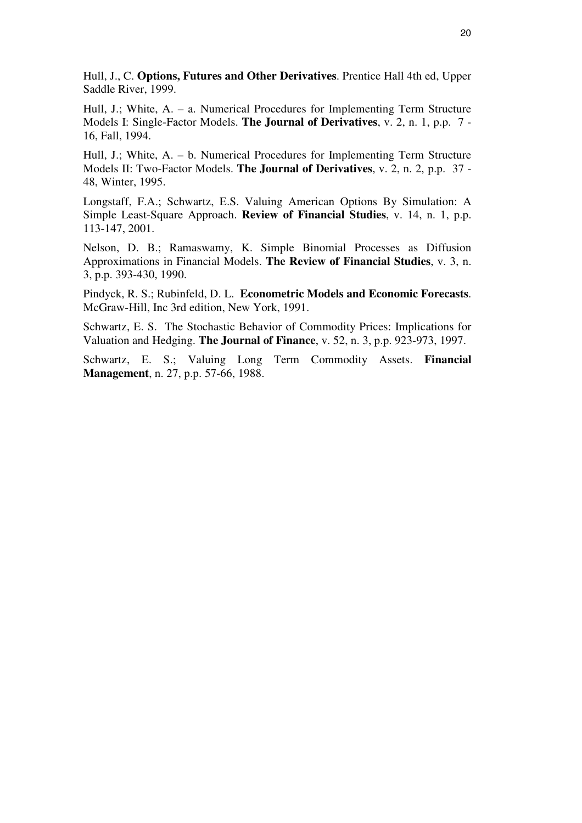Hull, J., C. **Options, Futures and Other Derivatives**. Prentice Hall 4th ed, Upper Saddle River, 1999.

Hull, J.; White, A. – a. Numerical Procedures for Implementing Term Structure Models I: Single-Factor Models. **The Journal of Derivatives**, v. 2, n. 1, p.p. 7 - 16, Fall, 1994.

Hull, J.; White, A. – b. Numerical Procedures for Implementing Term Structure Models II: Two-Factor Models. **The Journal of Derivatives**, v. 2, n. 2, p.p. 37 - 48, Winter, 1995.

Longstaff, F.A.; Schwartz, E.S. Valuing American Options By Simulation: A Simple Least-Square Approach. **Review of Financial Studies**, v. 14, n. 1, p.p. 113-147, 2001.

Nelson, D. B.; Ramaswamy, K. Simple Binomial Processes as Diffusion Approximations in Financial Models. **The Review of Financial Studies**, v. 3, n. 3, p.p. 393-430, 1990.

Pindyck, R. S.; Rubinfeld, D. L. **Econometric Models and Economic Forecasts**. McGraw-Hill, Inc 3rd edition, New York, 1991.

Schwartz, E. S. The Stochastic Behavior of Commodity Prices: Implications for Valuation and Hedging. **The Journal of Finance**, v. 52, n. 3, p.p. 923-973, 1997.

Schwartz, E. S.; Valuing Long Term Commodity Assets. **Financial Management**, n. 27, p.p. 57-66, 1988.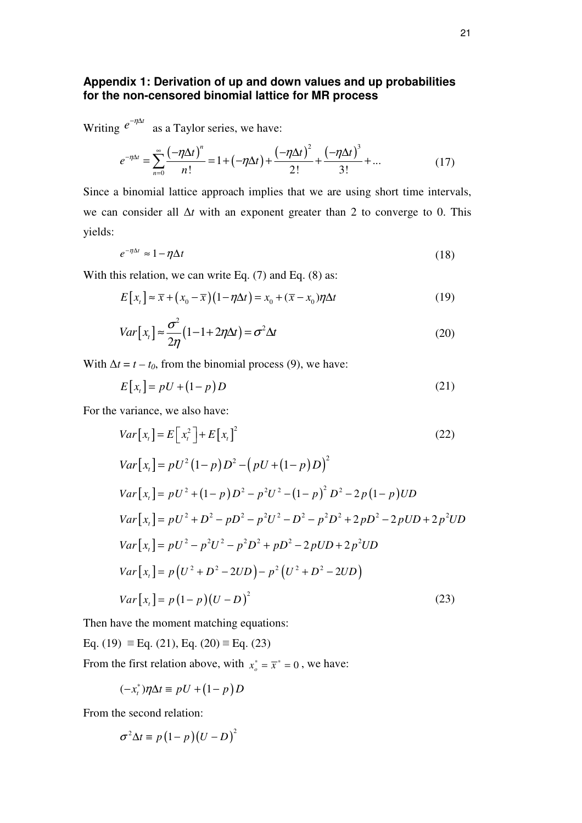## **Appendix 1: Derivation of up and down values and up probabilities for the non-censored binomial lattice for MR process**

Writing  $e^{-\eta \Delta t}$  as a Taylor series, we have:

$$
e^{-\eta \Delta t} = \sum_{n=0}^{\infty} \frac{(-\eta \Delta t)^n}{n!} = 1 + (-\eta \Delta t) + \frac{(-\eta \Delta t)^2}{2!} + \frac{(-\eta \Delta t)^3}{3!} + \dots
$$
 (17)

Since a binomial lattice approach implies that we are using short time intervals, we can consider all ∆*t* with an exponent greater than 2 to converge to 0. This yields:

$$
e^{-\eta \Delta t} \approx 1 - \eta \Delta t \tag{18}
$$

With this relation, we can write Eq.  $(7)$  and Eq.  $(8)$  as:

$$
E[x_t] \approx \overline{x} + (x_0 - \overline{x})(1 - \eta \Delta t) = x_0 + (\overline{x} - x_0)\eta \Delta t
$$
\n(19)

$$
Var[x_t] \approx \frac{\sigma^2}{2\eta} (1 - 1 + 2\eta \Delta t) = \sigma^2 \Delta t
$$
\n(20)

With  $\Delta t = t - t_0$ , from the binomial process (9), we have:

$$
E[xt] = pU + (1-p)D
$$
\n(21)

For the variance, we also have:

$$
Var[x_t] = E[x_t^2] + E[x_t]^2
$$
\n
$$
Var[x_t] = pU^2(1-p)D^2 - (pU + (1-p)D)^2
$$
\n
$$
Var[x_t] = pU^2 + (1-p)D^2 - p^2U^2 - (1-p)^2D^2 - 2p(1-p)UD
$$
\n
$$
Var[x_t] = pU^2 + D^2 - pD^2 - p^2U^2 - D^2 - p^2D^2 + 2pD^2 - 2pUD + 2p^2UD
$$
\n
$$
Var[x_t] = pU^2 - p^2U^2 - p^2D^2 + pD^2 - 2pUD + 2p^2UD
$$
\n
$$
Var[x_t] = p(U^2 + D^2 - 2UD) - p^2(U^2 + D^2 - 2UD)
$$
\n
$$
Var[x_t] = p(1-p)(U - D)^2
$$
\n(23)

Then have the moment matching equations:

Eq. (19)  $\equiv$  Eq. (21), Eq. (20)  $\equiv$  Eq. (23)

From the first relation above, with  $x_o^* = \overline{x}^* = 0$ , we have:

$$
(-x_t^*)\eta \Delta t \equiv pU + (1-p)D
$$

From the second relation:

$$
\sigma^2 \Delta t \equiv p (1-p) (U-D)^2
$$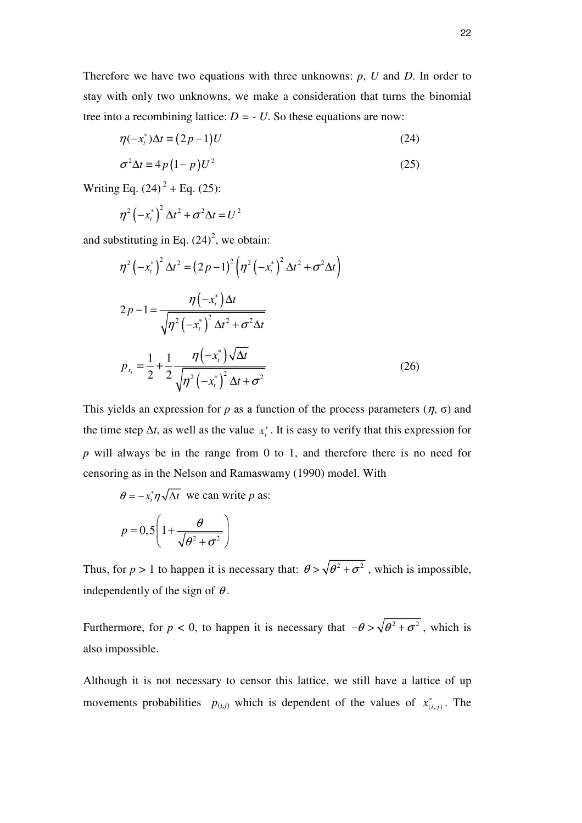Therefore we have two equations with three unknowns: *p*, *U* and *D*. In order to stay with only two unknowns, we make a consideration that turns the binomial tree into a recombining lattice:  $D = -U$ . So these equations are now:

$$
\eta(-x_t^*)\Delta t \equiv (2p-1)U\tag{24}
$$

$$
\sigma^2 \Delta t \equiv 4p(1-p)U^2 \tag{25}
$$

Writing Eq.  $(24)^{2}$  + Eq.  $(25)$ :

$$
\eta^2\left(-x_t^*\right)^2\Delta t^2+\sigma^2\Delta t=U^2
$$

and substituting in Eq.  $(24)^2$ , we obtain:

$$
\eta^{2}(-x_{t}^{*})^{2} \Delta t^{2} = (2p - 1)^{2} \left(\eta^{2}(-x_{t}^{*})^{2} \Delta t^{2} + \sigma^{2} \Delta t\right)
$$
  
\n
$$
2p - 1 = \frac{\eta(-x_{t}^{*}) \Delta t}{\sqrt{\eta^{2}(-x_{t}^{*})^{2} \Delta t^{2} + \sigma^{2} \Delta t}}
$$
  
\n
$$
p_{x_{t}} = \frac{1}{2} + \frac{1}{2} \frac{\eta(-x_{t}^{*}) \sqrt{\Delta t}}{\sqrt{\eta^{2}(-x_{t}^{*})^{2} \Delta t + \sigma^{2}}}
$$
(26)

This yields an expression for *p* as a function of the process parameters  $(\eta, \sigma)$  and the time step  $\Delta t$ , as well as the value  $x_t^*$ . It is easy to verify that this expression for *p* will always be in the range from 0 to 1, and therefore there is no need for censoring as in the Nelson and Ramaswamy (1990) model. With

$$
\theta = -x_t^* \eta \sqrt{\Delta t} \text{ we can write } p \text{ as:}
$$

$$
p = 0,5 \left( 1 + \frac{\theta}{\sqrt{\theta^2 + \sigma^2}} \right)
$$

Thus, for  $p > 1$  to happen it is necessary that:  $\theta > \sqrt{\theta^2 + \sigma^2}$ , which is impossible, independently of the sign of  $\theta$ .

Furthermore, for *p* < 0, to happen it is necessary that  $-\theta > \sqrt{\theta^2 + \sigma^2}$ , which is also impossible.

Although it is not necessary to censor this lattice, we still have a lattice of up movements probabilities  $p_{(i,j)}$  which is dependent of the values of  $x_{(i,j)}^*$ . The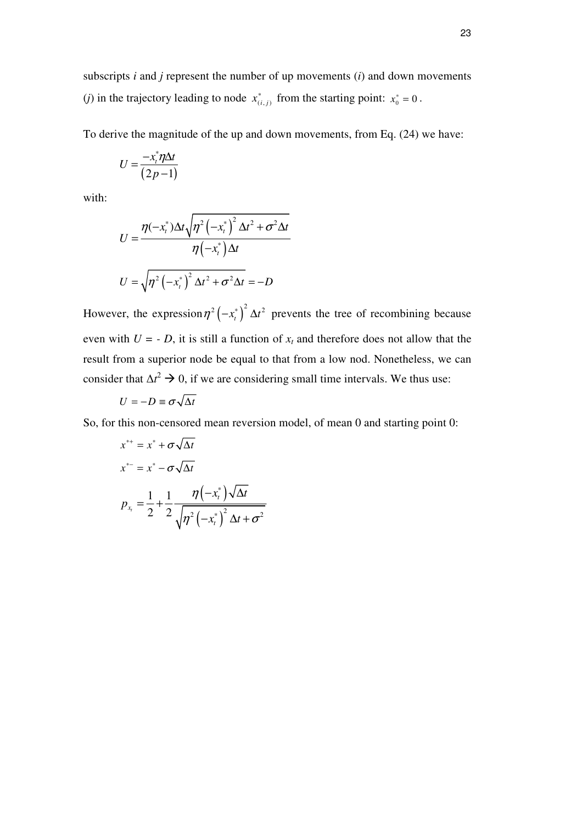subscripts *i* and *j* represent the number of up movements (*i*) and down movements (*j*) in the trajectory leading to node  $x_{(i,j)}^*$  from the starting point:  $x_0^* = 0$ .

To derive the magnitude of the up and down movements, from Eq. (24) we have:

$$
U = \frac{-x_i^* \eta \Delta t}{(2p-1)}
$$

with:

$$
U = \frac{\eta(-x_t^*)\Delta t \sqrt{\eta^2 \left(-x_t^*\right)^2 \Delta t^2 + \sigma^2 \Delta t}}{\eta\left(-x_t^*\right) \Delta t}
$$

$$
U = \sqrt{\eta^2 \left(-x_t^*\right)^2 \Delta t^2 + \sigma^2 \Delta t} = -D
$$

However, the expression  $\eta^2(-x_t^*)^2 \Delta t^2$  prevents the tree of recombining because even with  $U = -D$ , it is still a function of  $x_t$  and therefore does not allow that the result from a superior node be equal to that from a low nod. Nonetheless, we can consider that  $\Delta t^2 \to 0$ , if we are considering small time intervals. We thus use:

$$
U=-D\equiv \sigma\sqrt{\Delta t}
$$

So, for this non-censored mean reversion model, of mean 0 and starting point 0:

$$
x^{**} = x^* + \sigma \sqrt{\Delta t}
$$
  
\n
$$
x^{*-} = x^* - \sigma \sqrt{\Delta t}
$$
  
\n
$$
p_{x_t} = \frac{1}{2} + \frac{1}{2} \frac{\eta(-x_t^*)\sqrt{\Delta t}}{\sqrt{\eta^2(-x_t^*)^2 \Delta t + \sigma^2}}
$$